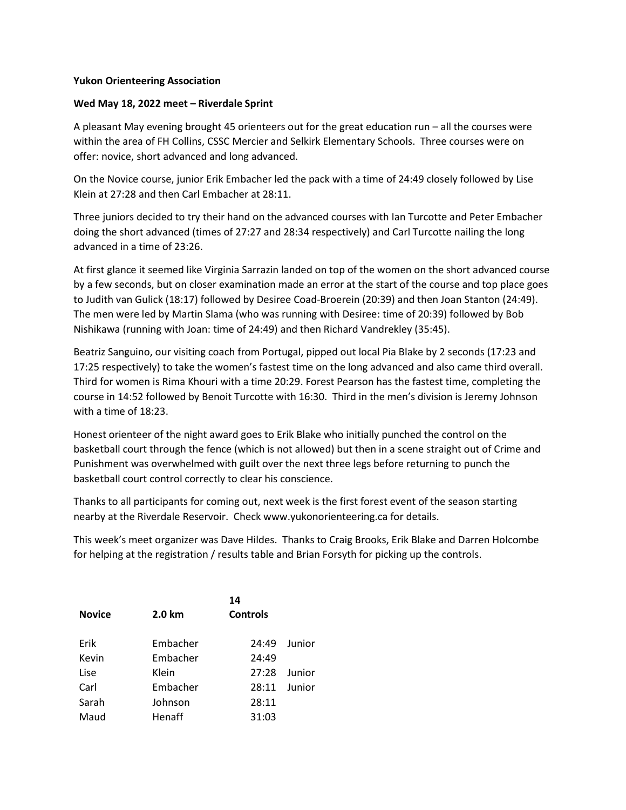## Yukon Orienteering Association

## Wed May 18, 2022 meet – Riverdale Sprint

A pleasant May evening brought 45 orienteers out for the great education run – all the courses were within the area of FH Collins, CSSC Mercier and Selkirk Elementary Schools. Three courses were on offer: novice, short advanced and long advanced.

On the Novice course, junior Erik Embacher led the pack with a time of 24:49 closely followed by Lise Klein at 27:28 and then Carl Embacher at 28:11.

Three juniors decided to try their hand on the advanced courses with Ian Turcotte and Peter Embacher doing the short advanced (times of 27:27 and 28:34 respectively) and Carl Turcotte nailing the long advanced in a time of 23:26.

At first glance it seemed like Virginia Sarrazin landed on top of the women on the short advanced course by a few seconds, but on closer examination made an error at the start of the course and top place goes to Judith van Gulick (18:17) followed by Desiree Coad-Broerein (20:39) and then Joan Stanton (24:49). The men were led by Martin Slama (who was running with Desiree: time of 20:39) followed by Bob Nishikawa (running with Joan: time of 24:49) and then Richard Vandrekley (35:45).

Beatriz Sanguino, our visiting coach from Portugal, pipped out local Pia Blake by 2 seconds (17:23 and 17:25 respectively) to take the women's fastest time on the long advanced and also came third overall. Third for women is Rima Khouri with a time 20:29. Forest Pearson has the fastest time, completing the course in 14:52 followed by Benoit Turcotte with 16:30. Third in the men's division is Jeremy Johnson with a time of 18:23.

Honest orienteer of the night award goes to Erik Blake who initially punched the control on the basketball court through the fence (which is not allowed) but then in a scene straight out of Crime and Punishment was overwhelmed with guilt over the next three legs before returning to punch the basketball court control correctly to clear his conscience.

Thanks to all participants for coming out, next week is the first forest event of the season starting nearby at the Riverdale Reservoir. Check www.yukonorienteering.ca for details.

This week's meet organizer was Dave Hildes. Thanks to Craig Brooks, Erik Blake and Darren Holcombe for helping at the registration / results table and Brian Forsyth for picking up the controls.

|               | 14       |                 |        |  |  |
|---------------|----------|-----------------|--------|--|--|
| <b>Novice</b> | 2.0 km   | <b>Controls</b> |        |  |  |
|               |          |                 |        |  |  |
| Erik          | Embacher | 24:49           | Junior |  |  |
| Kevin         | Embacher | 24:49           |        |  |  |
| Lise          | Klein    | 27:28           | Junior |  |  |
| Carl          | Embacher | 28:11           | Junior |  |  |
| Sarah         | Johnson  | 28:11           |        |  |  |
| Maud          | Henaff   | 31:03           |        |  |  |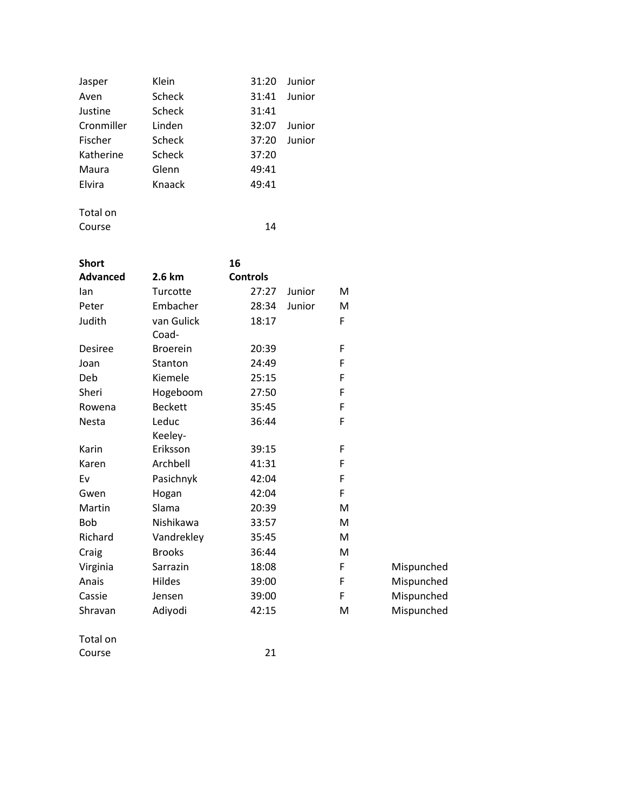| Jasper     | Klein  | 31:20 | Junior |
|------------|--------|-------|--------|
| Aven       | Scheck | 31:41 | Junior |
| Justine    | Scheck | 31:41 |        |
| Cronmiller | Linden | 32:07 | Junior |
| Fischer    | Scheck | 37:20 | Junior |
| Katherine  | Scheck | 37:20 |        |
| Maura      | Glenn  | 49:41 |        |
| Elvira     | Knaack | 49:41 |        |
|            |        |       |        |

Total on Course 14

| <b>Short</b>    |                 | 16              |        |   |            |
|-----------------|-----------------|-----------------|--------|---|------------|
| <b>Advanced</b> | 2.6 km          | <b>Controls</b> |        |   |            |
| lan             | Turcotte        | 27:27           | Junior | M |            |
| Peter           | Embacher        | 28:34           | Junior | M |            |
| Judith          | van Gulick      | 18:17           |        | F |            |
|                 | Coad-           |                 |        |   |            |
| <b>Desiree</b>  | <b>Broerein</b> | 20:39           |        | F |            |
| Joan            | Stanton         | 24:49           |        | F |            |
| Deb             | Kiemele         | 25:15           |        | F |            |
| Sheri           | Hogeboom        | 27:50           |        | F |            |
| Rowena          | <b>Beckett</b>  | 35:45           |        | F |            |
| <b>Nesta</b>    | Leduc           | 36:44           |        | F |            |
|                 | Keeley-         |                 |        |   |            |
| Karin           | Eriksson        | 39:15           |        | F |            |
| Karen           | Archbell        | 41:31           |        | F |            |
| Ev              | Pasichnyk       | 42:04           |        | F |            |
| Gwen            | Hogan           | 42:04           |        | F |            |
| Martin          | Slama           | 20:39           |        | м |            |
| <b>Bob</b>      | Nishikawa       | 33:57           |        | M |            |
| Richard         | Vandrekley      | 35:45           |        | M |            |
| Craig           | <b>Brooks</b>   | 36:44           |        | M |            |
| Virginia        | Sarrazin        | 18:08           |        | F | Mispunched |
| Anais           | Hildes          | 39:00           |        | F | Mispunched |
| Cassie          | Jensen          | 39:00           |        | F | Mispunched |
| Shravan         | Adiyodi         | 42:15           |        | M | Mispunched |
|                 |                 |                 |        |   |            |

Total on Course 21